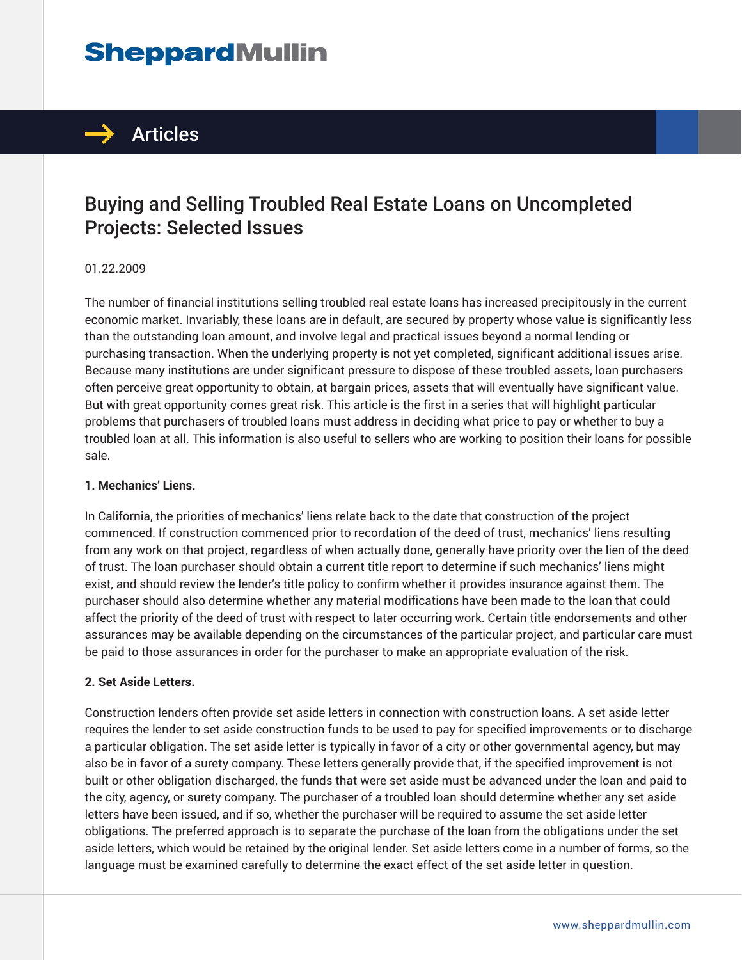# **SheppardMullin**



## Buying and Selling Troubled Real Estate Loans on Uncompleted Projects: Selected Issues

#### 01.22.2009

The number of financial institutions selling troubled real estate loans has increased precipitously in the current economic market. Invariably, these loans are in default, are secured by property whose value is significantly less than the outstanding loan amount, and involve legal and practical issues beyond a normal lending or purchasing transaction. When the underlying property is not yet completed, significant additional issues arise. Because many institutions are under significant pressure to dispose of these troubled assets, loan purchasers often perceive great opportunity to obtain, at bargain prices, assets that will eventually have significant value. But with great opportunity comes great risk. This article is the first in a series that will highlight particular problems that purchasers of troubled loans must address in deciding what price to pay or whether to buy a troubled loan at all. This information is also useful to sellers who are working to position their loans for possible sale.

#### **1. Mechanics' Liens.**

In California, the priorities of mechanics' liens relate back to the date that construction of the project commenced. If construction commenced prior to recordation of the deed of trust, mechanics' liens resulting from any work on that project, regardless of when actually done, generally have priority over the lien of the deed of trust. The loan purchaser should obtain a current title report to determine if such mechanics' liens might exist, and should review the lender's title policy to confirm whether it provides insurance against them. The purchaser should also determine whether any material modifications have been made to the loan that could affect the priority of the deed of trust with respect to later occurring work. Certain title endorsements and other assurances may be available depending on the circumstances of the particular project, and particular care must be paid to those assurances in order for the purchaser to make an appropriate evaluation of the risk.

#### **2. Set Aside Letters.**

Construction lenders often provide set aside letters in connection with construction loans. A set aside letter requires the lender to set aside construction funds to be used to pay for specified improvements or to discharge a particular obligation. The set aside letter is typically in favor of a city or other governmental agency, but may also be in favor of a surety company. These letters generally provide that, if the specified improvement is not built or other obligation discharged, the funds that were set aside must be advanced under the loan and paid to the city, agency, or surety company. The purchaser of a troubled loan should determine whether any set aside letters have been issued, and if so, whether the purchaser will be required to assume the set aside letter obligations. The preferred approach is to separate the purchase of the loan from the obligations under the set aside letters, which would be retained by the original lender. Set aside letters come in a number of forms, so the language must be examined carefully to determine the exact effect of the set aside letter in question.